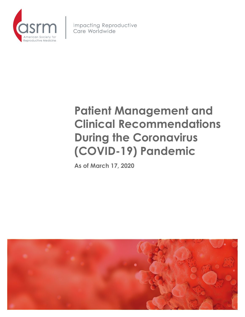

**Impacting Reproductive** Care Worldwide

# **Patient Management and Clinical Recommendations During the Coronavirus (COVID-19) Pandemic**

**As of March 17, 2020**

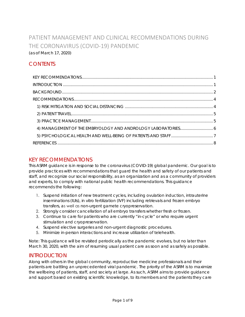## PATIENT MANAGEMENT AND CLINICAL RECOMMENDATIONS DURING THE CORONAVIRUS (COVID-19) PANDEMIC (as of March 17, 2020)

## **CONTENTS**

## <span id="page-1-0"></span>KEY RECOMMENDATIONS

This ASRM guidance is in response to the coronavirus (COVID-19) global pandemic. Our goal is to provide practices with recommendations that guard the health and safety of our patients and staff, and recognize our social responsibility, as an organization and as a community of providers and experts, to comply with national public health recommendations. This guidance recommends the following:

- 1. Suspend initiation of new treatment cycles, including ovulation induction, intrauterine inseminations (IUIs), *in vitro* fertilization (IVF) including retrievals and frozen embryo transfers, as well as non-urgent gamete cryopreservation.
- 2. Strongly consider cancellation of all embryo transfers whether fresh or frozen.
- 3. Continue to care for patients who are currently "in-cycle" or who require urgent stimulation and cryopreservation.
- 4. Suspend elective surgeries and non-urgent diagnostic procedures.
- 5. Minimize in-person interactions and increase utilization of telehealth.

Note: This guidance will be revisited periodically as the pandemic evolves, but no later than March 30, 2020, with the aim of resuming usual patient care as soon and as safely as possible.

### <span id="page-1-1"></span>INTRODUCTION

Along with others in the global community, reproductive medicine professionals and their patients are battling an unprecedented viral pandemic. The priority of the ASRM is to maximize the wellbeing of patients, staff, and society at large. As such, ASRM aims to provide guidance and support based on existing scientific knowledge, to its members and the patients they care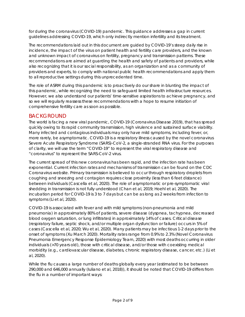<span id="page-2-1"></span>for during the coronavirus (COVID-19) pandemic. This guidance addresses a gap in current guidelines addressing COVID-19, which only indirectly mention infertility and its treatment.

The recommendations laid out in this document are guided by COVID-19's steep daily rise in incidence, the impact of the virus on patient health and fertility care providers, and the known and unknown impact of coronavirus on fertility, pregnancy and transmission patterns. These recommendations are aimed at guarding the health and safety of patients and providers, while also recognizing that it is our social responsibility, as an organization and as a community of providers and experts, to comply with national public health recommendations and apply them to all reproductive settings during this unprecedented time.

The role of ASRM during this pandemic is to proactively do our share in blunting the impact of this pandemic, while recognizing the need to safeguard limited health infrastructure resources. However, we also understand our patients' time-sensitive aspirations to achieve pregnancy, and so we will regularly reassess these recommendations with a hope to resume initiation of comprehensive fertility care as soon as possible.

## <span id="page-2-0"></span>BACKGROUND

The world is facing a new viral pandemic, COVID-19 (Coronavirus Disease 2019), that has spread quickly owing to its rapid community transmission, high virulence and sustained surface viability. Many infected and contagious individuals may only have mild symptoms, including fever, or, more rarely, be asymptomatic. COVID-19 is a respiratory illness caused by the novel coronavirus Severe Acute Respiratory Syndrome (SARS)-CoV-2, a single-stranded RNA virus. For the purposes of clarity, we will use the term "COVID-19" to represent the viral respiratory disease and "coronavirus" to represent the SARS-CoV-2 virus.

The current spread of this new coronavirus has been rapid, and the infection rate has been exponential. Current infection rates and mechanisms of transmission can be found on the CDC Coronavirus website. Primary transmission is believed to occur through respiratory droplets from coughing and sneezing and contagion requires close proximity (less than 6 feet distance) between individuals (Cascella et al, 2020). The role of asymptomatic or pre-symptomatic viral shedding in transmission is not fully understood (Chan et al, 2019; Hoehl et al, 2020). The incubation period for COVID-19 is 3 to 7 days but can be as long as 2 weeks from infection to symptoms (Li et al, 2020).

COVID-19 is associated with fever and with mild symptoms (non-pneumonia and mild pneumonia) in approximately 80% of patients, severe disease (dyspnea, tachypnea, decreased blood oxygen saturation, or lung infiltrates) in approximately 14% of cases. Critical disease (respiratory failure, septic shock, and/or multiple organ dysfunction or failure) occurs in 5% of cases (Cascella et al, 2020; Wu et al, 2020). Many patients may be infectious 1-2 days prior to the onset of symptoms (Xu March 2020). Mortality rates range from 0.9% to 2.3% (Novel Coronavirus Pneumonia Emergency Response Epidemiology Team, 2020) with most deaths occurring in older individuals (>70 years old), those with critical disease, and/or those with coexisting medical morbidity (e.g., cardiovascular disease, diabetes, chronic respiratory disease, cancer, etc.) (Li et al, 2020).

While the flu causes a large number of deaths globally every year (estimated to be between 290,000 and 646,000 annually (Iuliano et al, 2018)), it should be noted that COVID-19 differs from the flu in a number of important ways: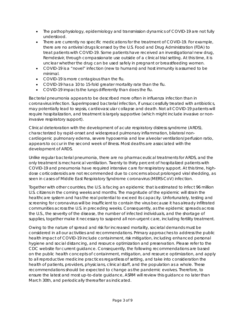- The pathophysiology, epidemiology and transmission dynamics of COVID-19 are not fully understood.
- There are currently no specific medications for the treatment of COVID-19. For example, there are no antiviral drugs licensed by the U.S. Food and Drug Administration (FDA) to treat patients with COVID-19. Some patients have received an investigational new drug, Remdesivir, through compassionate use outside of a clinical trial setting. At this time, it is unclear whether the drug can be used safely in pregnant or breastfeeding women.
- COVID-19 is a "novel" infection (new to humans) and host immunity is assumed to be minimal.
- COVID-19 is more contagious than the flu.
- COVID-19 has a 10 to 15-fold greater mortality rate than the flu.
- COVID-19 impacts the lungs differently than does the flu.

Bacterial pneumonia appears to be described more often in influenza infection than in coronavirus infection. Superimposed bacterial infection, if unsuccessfully treated with antibiotics, may potentially lead to sepsis, cardiovascular collapse and death. Not all COVID-19 patients will require hospitalization, and treatment is largely supportive (which might include invasive or noninvasive respiratory support).

Clinical deterioration with the development of acute respiratory distress syndrome (ARDS), characterized by rapid-onset and widespread pulmonary inflammation, bilateral noncardiogenic pulmonary edema, severe hypoxemia and low alveolar ventilation/perfusion ratio, appears to occur in the second week of illness. Most deaths are associated with the development of ARDS.

Unlike regular bacterial pneumonia, there are no pharmaceutical treatments for ARDS, and the only treatment is mechanical ventilation. Twenty to thirty percent of hospitalized patients with COVID-19 and pneumonia have required intensive care for respiratory support. At this time, highdose corticosteroids are not recommended due to concerns about prolonged viral shedding, as seen in cases of Middle East Respiratory Syndrome coronavirus (MERS-CoV) infection.

Together with other countries, the U.S. is facing an epidemic that is estimated to infect 96 million U.S. citizens in the coming weeks and months. The magnitude of the epidemic will strain the healthcare system and has the real potential to exceed its capacity. Unfortunately, testing and screening for coronavirus will be insufficient to contain the virus because it has already infiltrated communities across the U.S. in preceding weeks. Consequently, as the epidemic spreads across the U.S., the severity of the disease, the number of infected individuals, and the shortage of supplies, together make it necessary to suspend all non-urgent care, including fertility treatment.

Owing to the nature of spread and risk for increased mortality, societal demands must be considered in all our activities and recommendations. Primary approaches to address the public health impact of COVID-19 include containment, risk mitigation, including enhanced personal hygiene and social distancing, and resource optimization and preservation. Please refer to the CDC website for current guidance. Consequently, the following recommendations are based on the public health concepts of containment, mitigation, and resource optimization, and apply to all reproductive medicine practices regardless of setting, and take into consideration the health of patients, providers, physicians, clinical staff, and the population as a whole. These recommendations should be expected to change as the pandemic evolves. Therefore, to ensure the latest and most up-to-date guidance, ASRM will review this guidance no later than March 30th, and periodically thereafter as indicated.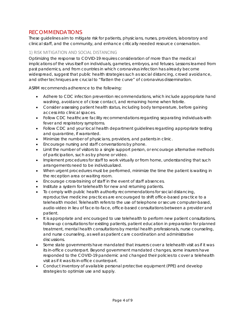## <span id="page-4-2"></span><span id="page-4-0"></span>RECOMMENDATIONS

These guidelines aim to mitigate risk for patients, physicians, nurses, providers, laboratory and clinical staff, and the community, and enhance critically needed resource conservation.

#### <span id="page-4-1"></span>1) RISK MITIGATION AND SOCIAL DISTANCING

Optimizing the response to COVID-19 requires consideration of more than the medical implications of the virus itself on individuals, gametes, embryos, and fetuses. Lessons learned from past pandemics, and from countries in which coronavirus infection has already become widespread, suggest that public health strategies such as social distancing, crowd avoidance, and other techniques are crucial to "flatten the curve" of coronavirus dissemination.

ASRM recommends adherence to the following:

- Adhere to CDC infection prevention recommendations, which include appropriate hand washing, avoidance of close contact, and remaining home when febrile.
- Consider assessing patient health status, including body temperature, before gaining access into clinical spaces.
- Follow CDC healthcare facility recommendations regarding separating individuals with fever and respiratory symptoms.
- Follow CDC and your local health department quidelines regarding appropriate testing and quarantine, if warranted.
- Minimize the number of physicians, providers, and patients in clinic.
- Encourage nursing and staff conversations by phone.
- Limit the number of visitors to a single support person, or encourage alternative methods of participation, such as by phone or video.
- Implement procedures for staff to work virtually or from home, understanding that such arrangements need to be individualized.
- When urgent procedures must be performed, minimize the time the patient is waiting in the reception area or waiting room.
- Encourage cross-training of staff in the event of staff absences.
- Institute a system for telehealth for new and returning patients.
- To comply with public health authority recommendations for social distancing, reproductive medicine practices are encouraged to shift office-based practice to a telehealth model. Telehealth refers to the use of telephone or secure computer-based, audio-video in lieu of face-to-face, office-based consultations between a provider and patient.
- It is appropriate and encouraged to use telehealth to perform new patient consultations, follow-up consultations for existing patients, patient education in preparation for planned treatment, mental health consultations by mental health professionals, nurse counseling, and nurse counseling, as well as patient care coordination and administrative discussions.
- Some state governments have mandated that insurers cover a telehealth visit as if it was its in-office counterpart. Beyond government mandated changes, some insurers have responded to the COVID-19 pandemic and changed their policies to cover a telehealth visit as if it was its in-office counterpart.
- Conduct inventory of available personal protective equipment (PPE) and develop strategies to optimize use and supply.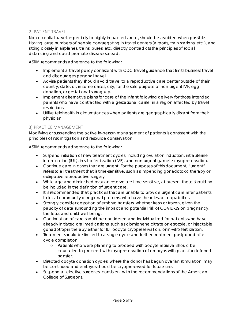#### <span id="page-5-2"></span><span id="page-5-0"></span>2) PATIENT TRAVEL

Non-essential travel, especially to highly impacted areas, should be avoided when possible. Having large numbers of people congregating in travel centers (airports, train stations, etc.), and sitting closely in airplanes, trains, buses, etc. directly contradicts the principles of social distancing and could promote disease spread.

ASRM recommends adherence to the following:

- Implement a travel policy consistent with CDC travel guidance that limits business travel and discourages personal travel.
- Advise patients they should avoid travel to a reproductive care center outside of their country, state, or, in some cases, city, for the sole purpose of non-urgent IVF, egg donation, or gestational surrogacy.
- Implement alternative plans for care of the infant following delivery for those intended parents who have contracted with a gestational carrier in a region affected by travel restrictions.
- Utilize telehealth in circumstances when patients are geographically distant from their physician.

#### <span id="page-5-1"></span>3) PRACTICE MANAGEMENT

Modifying or suspending the active in-person management of patients is consistent with the principles of risk mitigation and resource conservation.

ASRM recommends adherence to the following:

- Suspend initiation of new treatment cycles, including ovulation induction, intrauterine insemination (IUIs), in vitro fertilization (IVF), and non-urgent gamete cryopreservation.
- Continue care in cases that are urgent. For the purposes of this document, "urgent" refers to all treatment that is time-sensitive, such as impending gonadotoxic therapy or extirpative reproductive surgery.
- While age and diminished ovarian reserve are time-sensitive, at present these should not be included in the definition of urgent care.
- It is recommended that practices that are unable to provide urgent care refer patients to local community or regional partners, who have the relevant capabilities.
- Strongly consider cessation of embryo transfers, whether fresh or frozen, given the paucity of data surrounding the impact and potential risk of COVID-19 on pregnancy, the fetus and child well-being.
- Continuation of care should be considered and individualized for patients who have already initiated oral medications, such as clomiphene citrate or letrozole, or injectable gonadotropin therapy either for IUI, oocyte cryopreservation, or in-vitro fertilization.
- Treatment should be limited to a single cycle and further treatment postponed after cycle completion.
	- o Patients who were planning to proceed with oocyte retrieval should be counseled to proceed with cryopreservation of embryos with plans for deferred transfer.
- Directed oocyte donation cycles, where the donor has begun ovarian stimulation, may be continued and embryos should be cryopreserved for future use.
- Suspend all elective surgeries, consistent with the recommendations of the American College of Surgeons.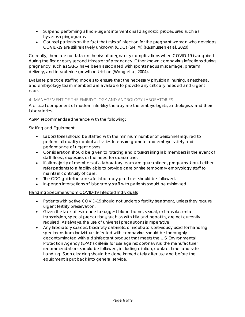- <span id="page-6-1"></span>• Suspend performing all non-urgent interventional diagnostic procedures, such as hysterosalpingograms.
- Counsel patients on the fact that risks of infection for the pregnant woman who develops COVID-19 are still relatively unknown (CDC) (SMFM) (Rasmussen et al, 2020).

Currently, there are no data on the risk of pregnancy complications when COVID-19 is acquired during the first or early second trimester of pregnancy. Other known coronavirus infections during pregnancy, such as SARS, have been associated with spontaneous miscarriage, preterm delivery, and intrauterine growth restriction (Wong et al, 2004).

Evaluate practice staffing models to ensure that the necessary physician, nursing, anesthesia, and embryology team members are available to provide any critically needed and urgent care.

#### <span id="page-6-0"></span>4) MANAGEMENT OF THE EMBRYOLOGY AND ANDROLOGY LABORATORIES

A critical component of modern infertility therapy are the embryologists, andrologists, and their laboratories.

ASRM recommends adherence with the following:

#### Staffing and Equipment

- Laboratories should be staffed with the minimum number of personnel required to perform all quality control activities to ensure gamete and embryo safety and performance of urgent cases.
- Consideration should be given to rotating and cross-training lab members in the event of staff illness, exposure, or the need for quarantine.
- If all/majority of members of a laboratory team are quarantined, programs should either refer patients to a facility able to provide care or hire temporary embryology staff to maintain continuity of care.
- The CDC guidelines on safe laboratory practices should be followed.
- In-person interactions of laboratory staff with patients should be minimized.

#### Handling Specimens from COVID-19 Infected Individuals

- Patients with active COVID-19 should not undergo fertility treatment, unless they require urgent fertility preservation.
- Given the lack of evidence to suggest blood-borne, sexual, or transplacental transmission, special precautions, such as with HIV and hepatitis, are not currently required. As always, the use of universal precautions is imperative.
- Any laboratory spaces, biosafety cabinets, or incubators previously used for handling specimens from individuals infected with coronavirus should be thoroughly decontaminated with a disinfectant product that meets the U.S. Environmental Protection Agency (EPA)'s criteria for use against coronavirus; the manufacturer recommendations should be followed, including dilution, contact time, and safe handling. Such cleaning should be done immediately after use and before the equipment is put back into general service.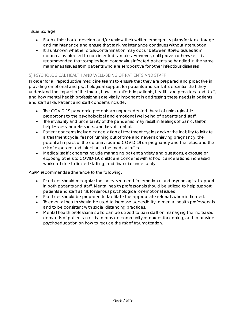#### <span id="page-7-2"></span>Tissue Storage

- Each clinic should develop and/or review their written emergency plans for tank storage and maintenance and ensure that tank maintenance continues without interruption.
- It is unknown whether cross-contamination may occur between stored tissues from coronavirus infected to non-infected samples. However, until proven otherwise, it is recommended that samples from coronavirus infected patients be handled in the same manner as tissues from patients who are seropositive for other infectious diseases.

#### <span id="page-7-0"></span>5) PSYCHOLOGICAL HEALTH AND WELL-BEING OF PATIENTS AND STAFF

In order for all reproductive medicine teams to ensure that they are prepared and proactive in providing emotional and psychological support for patients and staff, it is essential that they understand the impact of the threat, how it manifests in patients, healthcare providers, and staff, and how mental health professionals are vitally important in addressing these needs in patients and staff alike. Patient and staff concerns include:

- The COVID-19 pandemic presents an unprecedented threat of unimaginable proportions to the psychological and emotional wellbeing of patients and staff.
- The invisibility and uncertainty of the pandemic may result in feelings of panic, terror, helplessness, hopelessness, and loss of control.
- Patient concerns include cancellation of treatment cycles and/or the inability to initiate a treatment cycle, fear of running out of time and never achieving pregnancy, the potential impact of the coronavirus and COVID-19 on pregnancy and the fetus, and the risk of exposure and infection in the medical office.
- Medical staff concerns include managing patient anxiety and questions, exposure or exposing others to COVID-19, childcare concerns with school cancellations, increased workload due to limited staffing, and financial uncertainty.

ASRM recommends adherence to the following:

- Practices should recognize the increased need for emotional and psychological support in both patients and staff. Mental health professionals should be utilized to help support patients and staff at risk for serious psychological or emotional issues.
- Practices should be prepared to facilitate the appropriate referrals when indicated.
- Telemental health should be used to increase accessibility to mental health professionals and to be consistent with social distancing practices.
- <span id="page-7-1"></span>• Mental health professionals also can be utilized to train staff on managing the increased demands of patients in crisis, to provide community resources for coping, and to provide psychoeducation on how to reduce the risk of traumatization.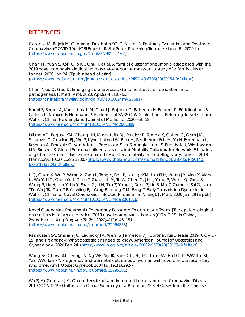## <span id="page-8-0"></span>**REFERENCES**

Cascella M, Rajnik M, Cuomo A, Dulebohn SC, Di Napoli R. Features, Evaluation and Treatment Coronavirus (COVID-19). NCBI Bookshelf. StatPearls Publishing:Treasure Island, FL; 2020 Jan- [\(https://www.ncbi.nlm.nih.gov/books/NBK554776/\)](https://www.ncbi.nlm.nih.gov/books/NBK554776/)

Chan JF, Yuan S, Kok K, To KK, Chu H, et al. A familial cluster of pneumonia associated with the 2019 novel coronavirus indicating person-to-person transmission: a study of a family cluster. Lancet. 2020 Jan 24. [Epub ahead of print] [\(https://www.thelancet.com/journals/lancet/article/PIIS0140-6736\(20\)30154-9/fulltext\)](https://www.thelancet.com/journals/lancet/article/PIIS0140-6736(20)30154-9/fulltext)

Chen Y, Liu Q, Guo D. Emerging coronaviruses: Genome structure, replication, and pathogenesis. J. Med. Virol. 2020, Apr;92(4):418-423 [\(https://onlinelibrary.wiley.com/doi/full/10.1002/jmv.25681\)](https://onlinelibrary.wiley.com/doi/full/10.1002/jmv.25681)

Hoehl S, Berger A, Kortenbusch M, Cinatl J, Bojkova D, Rabenau H, Behrens P, Böddinghaus B, Götsch U, Naujoks F, Neumann P. Evidence of SARS-CoV-2 Infection in Returning Travelers from Wuhan, China. New England Journal of Medicine. 2020 Feb 18. [\(https://www.nejm.org/doi/full/10.1056/NEJMc2001899\)](https://www.nejm.org/doi/full/10.1056/NEJMc2001899)

Iuliano AD, Roguski KM, Chang HH, Muscatello DJ, Palekar R, Tempia S, Cohen C, Gran JM, Schanzer D, Cowling BJ, Wu P, Kyncl J, Ang LW, Park M, Redlberger-Fritz M, Yu H, Espenhain L, Krishnan A, Emukule G, van Asten L, Pereira da Silva S, Aungkulanon S, Buchholz U, Widdowson MA, Bresee JS; Global Seasonal Influenza-associated Mortality Collaborator Network. Estimates of global seasonal influenza-associated respiratory mortality: a modelling study. Lancet. 2018 Mar 31;391(10127):1285-1300. [\(https://www.thelancet.com/journals/lancet/article/PIIS0140-](https://www.thelancet.com/journals/lancet/article/PIIS0140-6736(17)33293-2/fulltext) [6736\(17\)33293-2/fulltext\)](https://www.thelancet.com/journals/lancet/article/PIIS0140-6736(17)33293-2/fulltext)

Li Q, Guan X, Wu P, Wang X, Zhou L, Tong Y, Ren R, Leung KSM, Lau EHY, Wong JY, Xing X, Xiang N, Wu Y, Li C, Chen Q, Li D, Liu T, Zhao J, Li M, Tu W, Chen C, Jin L, Yang R, Wang Q, Zhou S, Wang R, Liu H, Luo Y, Liu Y, Shao G, Li H, Tao Z, Yang Y, Deng Z, Liu B, Ma Z, Zhang Y, Shi G, Lam TTY, Wu JTK, Gao GF, Cowling BJ, Yang B, Leung GM, Feng Z. Early Transmission Dynamics in Wuhan, China, of Novel Coronavirus-Infected Pneumonia. N. Engl. J. Med. 2020 Jan 29 (E-pub) [\(https://www.nejm.org/doi/full/10.1056/NEJMoa2001316\)](https://www.nejm.org/doi/full/10.1056/NEJMoa2001316)

Novel Coronavirus Pneumonia Emergency Response Epidemiology Team. [The epidemiological characteristics of an outbreak of 2019 novel coronavirus diseases (COVID-19) in China]. Zhonghua Liu Xing Bing Xue Za Zhi. 2020;41(2):145–151 [\(https://www.ncbi.nlm.nih.gov/pubmed/32064853\)](https://www.ncbi.nlm.nih.gov/pubmed/32064853)

Rasmussen SA, Smulian JC, Lednicky JA, Wen TS, Jamieson DJ. Coronavirus Disease 2019 (COVID-19) and Pregnancy: What obstetricians need to know. American Journal of Obstetrics and Gynecology. 2020 Feb 24. [\(https://www.ajog.org/article/S0002-9378\(20\)30197-6/fulltext\)](https://www.ajog.org/article/S0002-9378(20)30197-6/fulltext)

Wong SF, Chow KM, Leung TN, Ng WF, Ng TK, Shek CC, Ng PC, Lam PW, Ho LC, To WW, Lai ST, Yan WW, Tan PY. Pregnancy and perinatal outcomes of women with severe acute respiratory syndrome. Am J Obstet Gynecol. 2004 Jul;191(1):292-7. [\(https://www.ncbi.nlm.nih.gov/pubmed/15295381\)](https://www.ncbi.nlm.nih.gov/pubmed/15295381)

Wu Z, McGoogan JM. Characteristics of and Important Lessons from the Coronavirus Disease 2019 (COVID-19) Outbreak in China: Summary of a Report of 72 314 Cases from the Chinese